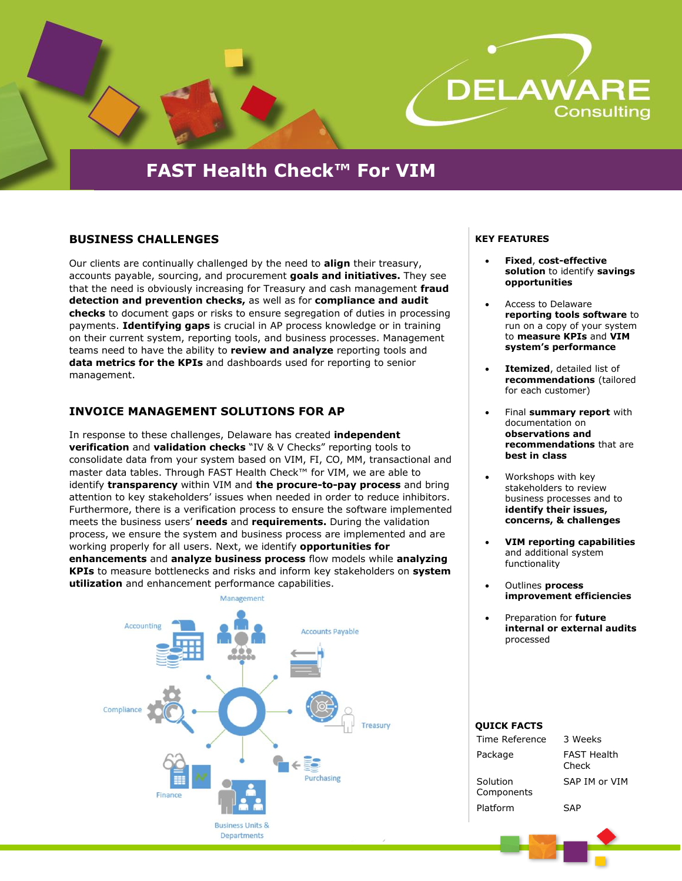

# **FAST Health Check™ For VIM**

# **BUSINESS CHALLENGES**

Our clients are continually challenged by the need to **align** their treasury, accounts payable, sourcing, and procurement **goals and initiatives.** They see that the need is obviously increasing for Treasury and cash management **fraud detection and prevention checks,** as well as for **compliance and audit checks** to document gaps or risks to ensure segregation of duties in processing payments. **Identifying gaps** is crucial in AP process knowledge or in training on their current system, reporting tools, and business processes. Management teams need to have the ability to **review and analyze** reporting tools and **data metrics for the KPIs** and dashboards used for reporting to senior management.

# **INVOICE MANAGEMENT SOLUTIONS FOR AP**

In response to these challenges, Delaware has created **independent verification** and **validation checks** "IV & V Checks" reporting tools to consolidate data from your system based on VIM, FI, CO, MM, transactional and master data tables. Through FAST Health Check™ for VIM, we are able to identify **transparency** within VIM and **the procure-to-pay process** and bring attention to key stakeholders' issues when needed in order to reduce inhibitors. Furthermore, there is a verification process to ensure the software implemented meets the business users' **needs** and **requirements.** During the validation process, we ensure the system and business process are implemented and are working properly for all users. Next, we identify **opportunities for enhancements** and **analyze business process** flow models while **analyzing KPIs** to measure bottlenecks and risks and inform key stakeholders on **system utilization** and enhancement performance capabilities.



#### **KEY FEATURES**

- **Fixed**, **cost-effective solution** to identify **savings opportunities**
- Access to Delaware **reporting tools software** to run on a copy of your system to **measure KPIs** and **VIM system's performance**
- **Itemized**, detailed list of **recommendations** (tailored for each customer)
- Final **summary report** with documentation on **observations and recommendations** that are **best in class**
- Workshops with key stakeholders to review business processes and to **identify their issues, concerns, & challenges**
- **VIM reporting capabilities** and additional system functionality
- Outlines **process improvement efficiencies**
- Preparation for **future internal or external audits** processed

# **QUICK FACTS**

| Time Reference         | 3 Weeks                     |
|------------------------|-----------------------------|
| Package                | <b>FAST Health</b><br>Check |
| Solution<br>Components | SAP IM or VIM               |
| Platform               | SAP                         |
|                        |                             |